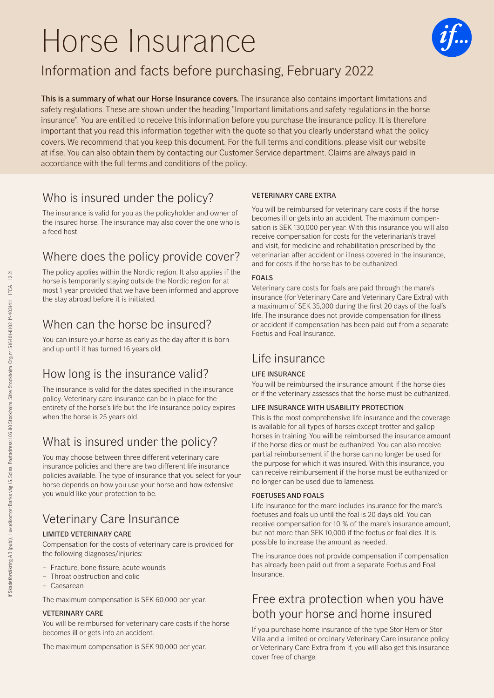# Horse Insurance



# Information and facts before purchasing, February 2022

This is a summary of what our Horse Insurance covers. The insurance also contains important limitations and safety regulations. These are shown under the heading "Important limitations and safety regulations in the horse insurance". You are entitled to receive this information before you purchase the insurance policy. It is therefore important that you read this information together with the quote so that you clearly understand what the policy covers. We recommend that you keep this document. For the full terms and conditions, please visit our website at if.se. You can also obtain them by contacting our Customer Service department. Claims are always paid in accordance with the full terms and conditions of the policy.

### Who is insured under the policy?

The insurance is valid for you as the policyholder and owner of the insured horse. The insurance may also cover the one who is a feed host.

# Where does the policy provide cover?

The policy applies within the Nordic region. It also applies if the horse is temporarily staying outside the Nordic region for at most 1 year provided that we have been informed and approve the stay abroad before it is initiated.

### When can the horse be insured?

You can insure your horse as early as the day after it is born and up until it has turned 16 years old.

### How long is the insurance valid?

The insurance is valid for the dates specified in the insurance policy. Veterinary care insurance can be in place for the entirety of the horse's life but the life insurance policy expires when the horse is 25 years old.

### What is insured under the policy?

You may choose between three different veterinary care insurance policies and there are two different life insurance policies available. The type of insurance that you select for your horse depends on how you use your horse and how extensive you would like your protection to be.

# Veterinary Care Insurance

### LIMITED VETERINARY CARE

Compensation for the costs of veterinary care is provided for the following diagnoses/injuries:

- Fracture, bone fissure, acute wounds
- Throat obstruction and colic
- Caesarean

The maximum compensation is SEK 60,000 per year.

### VETERINARY CARE

You will be reimbursed for veterinary care costs if the horse becomes ill or gets into an accident.

The maximum compensation is SEK 90,000 per year.

### VETERINARY CARE EXTRA

You will be reimbursed for veterinary care costs if the horse becomes ill or gets into an accident. The maximum compensation is SEK 130,000 per year. With this insurance you will also receive compensation for costs for the veterinarian's travel and visit, for medicine and rehabilitation prescribed by the veterinarian after accident or illness covered in the insurance, and for costs if the horse has to be euthanized.

### FOALS

Veterinary care costs for foals are paid through the mare's insurance (for Veterinary Care and Veterinary Care Extra) with a maximum of SEK 35,000 during the first 20 days of the foal's life. The insurance does not provide compensation for illness or accident if compensation has been paid out from a separate Foetus and Foal Insurance.

### Life insurance

### LIFE INSURANCE

You will be reimbursed the insurance amount if the horse dies or if the veterinary assesses that the horse must be euthanized.

### LIFE INSURANCE WITH USABILITY PROTECTION

This is the most comprehensive life insurance and the coverage is available for all types of horses except trotter and gallop horses in training. You will be reimbursed the insurance amount if the horse dies or must be euthanized. You can also receive partial reimbursement if the horse can no longer be used for the purpose for which it was insured. With this insurance, you can receive reimbursement if the horse must be euthanized or no longer can be used due to lameness.

### FOETUSES AND FOALS

Life insurance for the mare includes insurance for the mare's foetuses and foals up until the foal is 20 days old. You can receive compensation for 10 % of the mare's insurance amount, but not more than SEK 10,000 if the foetus or foal dies. It is possible to increase the amount as needed.

The insurance does not provide compensation if compensation has already been paid out from a separate Foetus and Foal Insurance.

### Free extra protection when you have both your horse and home insured

If you purchase home insurance of the type Stor Hem or Stor Villa and a limited or ordinary Veterinary Care insurance policy or Veterinary Care Extra from If, you will also get this insurance cover free of charge: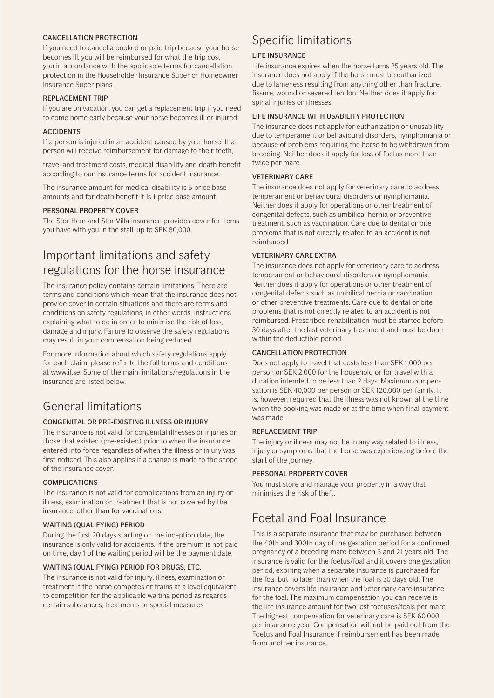#### CANCELLATION PROTECTION

If you need to cancel a booked or paid trip because your horse becomes ill, you will be reimbursed for what the trip cost you in accordance with the applicable terms for cancellation protection in the Householder Insurance Super or Homeowner Insurance Super plans.

#### REPLACEMENT TRIP

If you are on vacation, you can get a replacement trip if you need to come home early because your horse becomes ill or injured.

#### ACCIDENTS

If a person is injured in an accident caused by your horse, that person will receive reimbursement for damage to their teeth,

travel and treatment costs, medical disability and death benefit according to our insurance terms for accident insurance.

The insurance amount for medical disability is 5 price base amounts and for death benefit it is 1 price base amount.

### PERSONAL PROPERTY COVER

The Stor Hem and Stor Villa insurance provides cover for items you have with you in the stall, up to SEK 80,000.

### Important limitations and safety regulations for the horse insurance

The insurance policy contains certain limitations. There are terms and conditions which mean that the insurance does not provide cover in certain situations and there are terms and conditions on safety regulations, in other words, instructions explaining what to do in order to minimise the risk of loss, damage and injury. Failure to observe the safety regulations may result in your compensation being reduced.

For more information about which safety regulations apply for each claim, please refer to the full terms and conditions at www.if.se. Some of the main limitations/regulations in the insurance are listed below.

### General limitations

### CONGENITAL OR PRE-EXISTING ILLNESS OR INJURY

The insurance is not valid for congenital illnesses or injuries or those that existed (pre-existed) prior to when the insurance entered into force regardless of when the illness or injury was first noticed. This also applies if a change is made to the scope of the insurance cover.

### COMPLICATIONS

The insurance is not valid for complications from an injury or illness, examination or treatment that is not covered by the insurance, other than for vaccinations.

### WAITING (QUALIFYING) PERIOD

During the first 20 days starting on the inception date, the insurance is only valid for accidents. If the premium is not paid on time, day 1 of the waiting period will be the payment date.

### WAITING (QUALIFYING) PERIOD FOR DRUGS, ETC.

The insurance is not valid for injury, illness, examination or treatment if the horse competes or trains at a level equivalent to competition for the applicable waiting period as regards certain substances, treatments or special measures.

### Specific limitations

#### LIFE INSURANCE

Life insurance expires when the horse turns 25 years old. The insurance does not apply if the horse must be euthanized due to lameness resulting from anything other than fracture, fissure, wound or severed tendon. Neither does it apply for spinal injuries or illnesses.

#### LIFE INSURANCE WITH USABILITY PROTECTION

The insurance does not apply for euthanization or unusability due to temperament or behavioural disorders, nymphomania or because of problems requiring the horse to be withdrawn from breeding. Neither does it apply for loss of foetus more than twice per mare.

### VETERINARY CARE

The insurance does not apply for veterinary care to address temperament or behavioural disorders or nymphomania. Neither does it apply for operations or other treatment of congenital defects, such as umbilical hernia or preventive treatment, such as vaccination. Care due to dental or bite problems that is not directly related to an accident is not reimbursed.

### VETERINARY CARE EXTRA

The insurance does not apply for veterinary care to address temperament or behavioural disorders or nymphomania. Neither does it apply for operations or other treatment of congenital defects such as umbilical hernia or vaccination or other preventive treatments. Care due to dental or bite problems that is not directly related to an accident is not reimbursed. Prescribed rehabilitation must be started before 30 days after the last veterinary treatment and must be done within the deductible period.

#### CANCELLATION PROTECTION

Does not apply to travel that costs less than SEK 1,000 per person or SEK 2,000 for the household or for travel with a duration intended to be less than 2 days. Maximum compensation is SEK 40,000 per person or SEK 120,000 per family. It is, however, required that the illness was not known at the time when the booking was made or at the time when final payment was made.

#### REPLACEMENT TRIP

The injury or illness may not be in any way related to illness, injury or symptoms that the horse was experiencing before the start of the journey.

### PERSONAL PROPERTY COVER

You must store and manage your property in a way that minimises the risk of theft.

### Foetal and Foal Insurance

This is a separate insurance that may be purchased between the 40th and 300th day of the gestation period for a confirmed pregnancy of a breeding mare between 3 and 21 years old. The insurance is valid for the foetus/foal and it covers one gestation period, expiring when a separate insurance is purchased for the foal but no later than when the foal is 30 days old. The insurance covers life insurance and veterinary care insurance for the foal. The maximum compensation you can receive is the life insurance amount for two lost foetuses/foals per mare. The highest compensation for veterinary care is SEK 60,000 per insurance year. Compensation will not be paid out from the Foetus and Foal Insurance if reimbursement has been made from another insurance